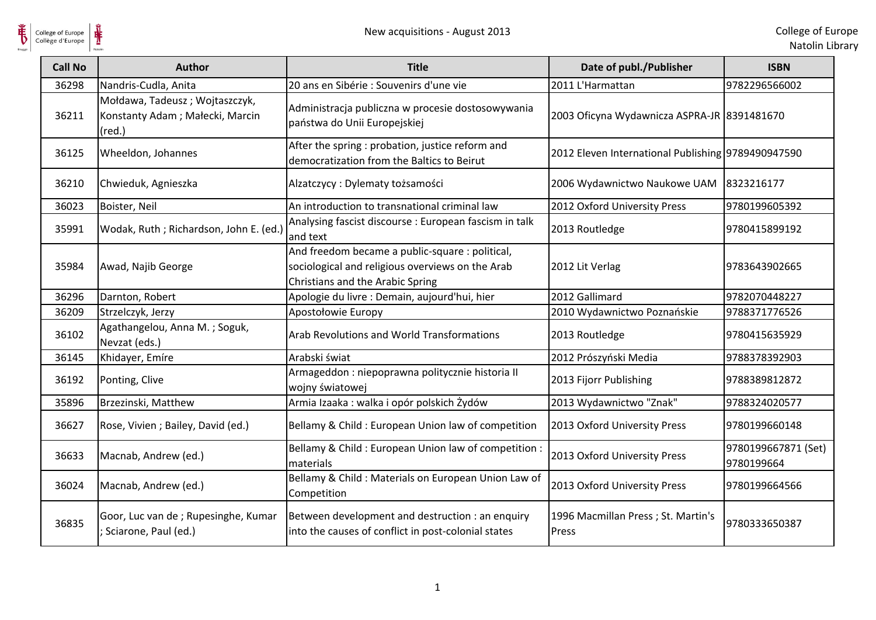

| <b>Call No</b> | <b>Author</b>                                                                        | <b>Title</b>                                                                                                                            | Date of publ./Publisher                            | <b>ISBN</b>                       |
|----------------|--------------------------------------------------------------------------------------|-----------------------------------------------------------------------------------------------------------------------------------------|----------------------------------------------------|-----------------------------------|
| 36298          | Nandris-Cudla, Anita                                                                 | 20 ans en Sibérie : Souvenirs d'une vie                                                                                                 | 2011 L'Harmattan                                   | 9782296566002                     |
| 36211          | Mołdawa, Tadeusz; Wojtaszczyk,<br>Konstanty Adam; Małecki, Marcin<br>$(\text{red.})$ | Administracja publiczna w procesie dostosowywania<br>państwa do Unii Europejskiej                                                       | 2003 Oficyna Wydawnicza ASPRA-JR 8391481670        |                                   |
| 36125          | Wheeldon, Johannes                                                                   | After the spring : probation, justice reform and<br>democratization from the Baltics to Beirut                                          | 2012 Eleven International Publishing 9789490947590 |                                   |
| 36210          | Chwieduk, Agnieszka                                                                  | Alzatczycy: Dylematy tożsamości                                                                                                         | 2006 Wydawnictwo Naukowe UAM 8323216177            |                                   |
| 36023          | Boister, Neil                                                                        | An introduction to transnational criminal law                                                                                           | 2012 Oxford University Press                       | 9780199605392                     |
| 35991          | Wodak, Ruth ; Richardson, John E. (ed.)                                              | Analysing fascist discourse : European fascism in talk<br>and text                                                                      | 2013 Routledge                                     | 9780415899192                     |
| 35984          | Awad, Najib George                                                                   | And freedom became a public-square : political,<br>sociological and religious overviews on the Arab<br>Christians and the Arabic Spring | 2012 Lit Verlag                                    | 9783643902665                     |
| 36296          | Darnton, Robert                                                                      | Apologie du livre : Demain, aujourd'hui, hier                                                                                           | 2012 Gallimard                                     | 9782070448227                     |
| 36209          | Strzelczyk, Jerzy                                                                    | Apostołowie Europy                                                                                                                      | 2010 Wydawnictwo Poznańskie                        | 9788371776526                     |
| 36102          | Agathangelou, Anna M.; Soguk,<br>Nevzat (eds.)                                       | Arab Revolutions and World Transformations                                                                                              | 2013 Routledge                                     | 9780415635929                     |
| 36145          | Khidayer, Emíre                                                                      | Arabski świat                                                                                                                           | 2012 Prószyński Media                              | 9788378392903                     |
| 36192          | Ponting, Clive                                                                       | Armageddon : niepoprawna politycznie historia II<br>wojny światowej                                                                     | 2013 Fijorr Publishing                             | 9788389812872                     |
| 35896          | Brzezinski, Matthew                                                                  | Armia Izaaka: walka i opór polskich Żydów                                                                                               | 2013 Wydawnictwo "Znak"                            | 9788324020577                     |
| 36627          | Rose, Vivien ; Bailey, David (ed.)                                                   | Bellamy & Child: European Union law of competition                                                                                      | 2013 Oxford University Press                       | 9780199660148                     |
| 36633          | Macnab, Andrew (ed.)                                                                 | Bellamy & Child: European Union law of competition:<br>materials                                                                        | 2013 Oxford University Press                       | 9780199667871 (Set)<br>9780199664 |
| 36024          | Macnab, Andrew (ed.)                                                                 | Bellamy & Child : Materials on European Union Law of<br>Competition                                                                     | 2013 Oxford University Press                       | 9780199664566                     |
| 36835          | Goor, Luc van de ; Rupesinghe, Kumar<br>Sciarone, Paul (ed.)                         | Between development and destruction : an enquiry<br>into the causes of conflict in post-colonial states                                 | 1996 Macmillan Press; St. Martin's<br>Press        | 9780333650387                     |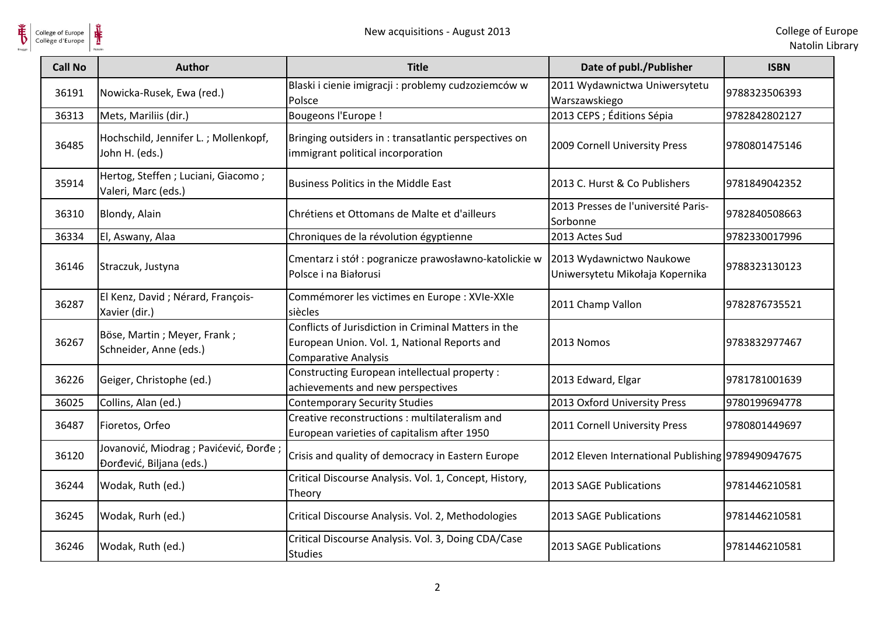

| <b>Call No</b> | <b>Author</b>                                                       | <b>Title</b>                                                                                                                        | Date of publ./Publisher                                     | <b>ISBN</b>   |
|----------------|---------------------------------------------------------------------|-------------------------------------------------------------------------------------------------------------------------------------|-------------------------------------------------------------|---------------|
| 36191          | Nowicka-Rusek, Ewa (red.)                                           | Blaski i cienie imigracji : problemy cudzoziemców w<br>Polsce                                                                       | 2011 Wydawnictwa Uniwersytetu<br>Warszawskiego              | 9788323506393 |
| 36313          | Mets, Mariliis (dir.)                                               | <b>Bougeons l'Europe!</b>                                                                                                           | 2013 CEPS ; Éditions Sépia                                  | 9782842802127 |
| 36485          | Hochschild, Jennifer L.; Mollenkopf,<br>John H. (eds.)              | Bringing outsiders in: transatlantic perspectives on<br>immigrant political incorporation                                           | 2009 Cornell University Press                               | 9780801475146 |
| 35914          | Hertog, Steffen ; Luciani, Giacomo ;<br>Valeri, Marc (eds.)         | <b>Business Politics in the Middle East</b>                                                                                         | 2013 C. Hurst & Co Publishers                               | 9781849042352 |
| 36310          | Blondy, Alain                                                       | Chrétiens et Ottomans de Malte et d'ailleurs                                                                                        | 2013 Presses de l'université Paris-<br>Sorbonne             | 9782840508663 |
| 36334          | El, Aswany, Alaa                                                    | Chroniques de la révolution égyptienne                                                                                              | 2013 Actes Sud                                              | 9782330017996 |
| 36146          | Straczuk, Justyna                                                   | Cmentarz i stół: pogranicze prawosławno-katolickie w<br>Polsce i na Białorusi                                                       | 2013 Wydawnictwo Naukowe<br>Uniwersytetu Mikołaja Kopernika | 9788323130123 |
| 36287          | El Kenz, David ; Nérard, François-<br>Xavier (dir.)                 | Commémorer les victimes en Europe : XVIe-XXIe<br>siècles                                                                            | 2011 Champ Vallon                                           | 9782876735521 |
| 36267          | Böse, Martin; Meyer, Frank;<br>Schneider, Anne (eds.)               | Conflicts of Jurisdiction in Criminal Matters in the<br>European Union. Vol. 1, National Reports and<br><b>Comparative Analysis</b> | 2013 Nomos                                                  | 9783832977467 |
| 36226          | Geiger, Christophe (ed.)                                            | Constructing European intellectual property :<br>achievements and new perspectives                                                  | 2013 Edward, Elgar                                          | 9781781001639 |
| 36025          | Collins, Alan (ed.)                                                 | <b>Contemporary Security Studies</b>                                                                                                | 2013 Oxford University Press                                | 9780199694778 |
| 36487          | Fioretos, Orfeo                                                     | Creative reconstructions : multilateralism and<br>European varieties of capitalism after 1950                                       | 2011 Cornell University Press                               | 9780801449697 |
| 36120          | Jovanović, Miodrag ; Pavićević, Đorđe ;<br>Đorđević, Biljana (eds.) | Crisis and quality of democracy in Eastern Europe                                                                                   | 2012 Eleven International Publishing 9789490947675          |               |
| 36244          | Wodak, Ruth (ed.)                                                   | Critical Discourse Analysis. Vol. 1, Concept, History,<br>Theory                                                                    | 2013 SAGE Publications                                      | 9781446210581 |
| 36245          | Wodak, Rurh (ed.)                                                   | Critical Discourse Analysis. Vol. 2, Methodologies                                                                                  | 2013 SAGE Publications                                      | 9781446210581 |
| 36246          | Wodak, Ruth (ed.)                                                   | Critical Discourse Analysis. Vol. 3, Doing CDA/Case<br><b>Studies</b>                                                               | 2013 SAGE Publications                                      | 9781446210581 |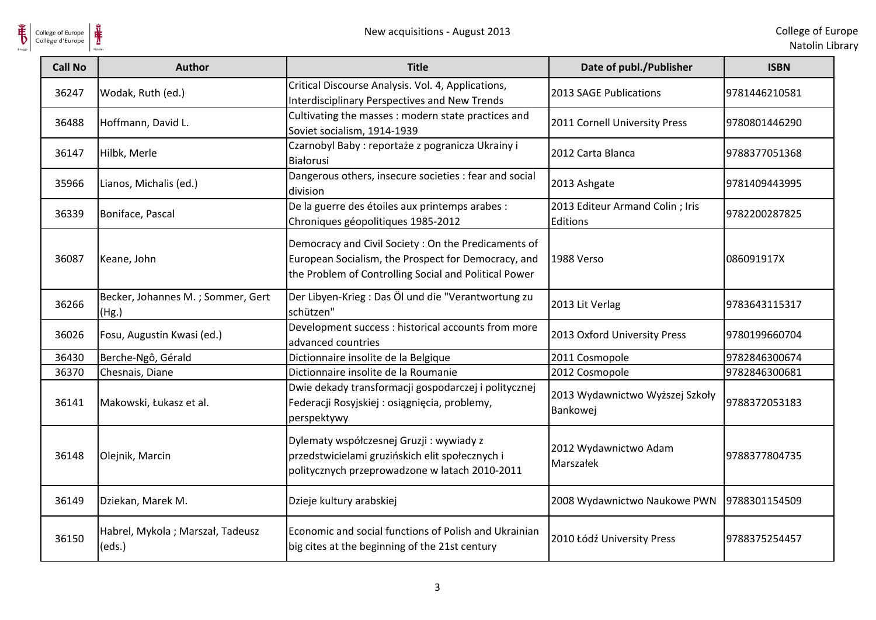

| <b>Call No</b> | <b>Author</b>                              | <b>Title</b>                                                                                                                                                        | Date of publ./Publisher                     | <b>ISBN</b>   |
|----------------|--------------------------------------------|---------------------------------------------------------------------------------------------------------------------------------------------------------------------|---------------------------------------------|---------------|
| 36247          | Wodak, Ruth (ed.)                          | Critical Discourse Analysis. Vol. 4, Applications,<br>Interdisciplinary Perspectives and New Trends                                                                 | 2013 SAGE Publications                      | 9781446210581 |
| 36488          | Hoffmann, David L.                         | Cultivating the masses : modern state practices and<br>Soviet socialism, 1914-1939                                                                                  | 2011 Cornell University Press               | 9780801446290 |
| 36147          | Hilbk, Merle                               | Czarnobyl Baby : reportaże z pogranicza Ukrainy i<br>Białorusi                                                                                                      | 2012 Carta Blanca                           | 9788377051368 |
| 35966          | Lianos, Michalis (ed.)                     | Dangerous others, insecure societies : fear and social<br>division                                                                                                  | 2013 Ashgate                                | 9781409443995 |
| 36339          | Boniface, Pascal                           | De la guerre des étoiles aux printemps arabes :<br>Chroniques géopolitiques 1985-2012                                                                               | 2013 Editeur Armand Colin; Iris<br>Editions | 9782200287825 |
| 36087          | Keane, John                                | Democracy and Civil Society: On the Predicaments of<br>European Socialism, the Prospect for Democracy, and<br>the Problem of Controlling Social and Political Power | 1988 Verso                                  | 086091917X    |
| 36266          | Becker, Johannes M.; Sommer, Gert<br>(Hg.) | Der Libyen-Krieg: Das Öl und die "Verantwortung zu<br>schützen"                                                                                                     | 2013 Lit Verlag                             | 9783643115317 |
| 36026          | Fosu, Augustin Kwasi (ed.)                 | Development success : historical accounts from more<br>advanced countries                                                                                           | 2013 Oxford University Press                | 9780199660704 |
| 36430          | Berche-Ngô, Gérald                         | Dictionnaire insolite de la Belgique                                                                                                                                | 2011 Cosmopole                              | 9782846300674 |
| 36370          | Chesnais, Diane                            | Dictionnaire insolite de la Roumanie                                                                                                                                | 2012 Cosmopole                              | 9782846300681 |
| 36141          | Makowski, Łukasz et al.                    | Dwie dekady transformacji gospodarczej i politycznej<br>Federacji Rosyjskiej: osiągnięcia, problemy,<br>perspektywy                                                 | 2013 Wydawnictwo Wyższej Szkoły<br>Bankowej | 9788372053183 |
| 36148          | Olejnik, Marcin                            | Dylematy współczesnej Gruzji : wywiady z<br>przedstwicielami gruzińskich elit społecznych i<br>politycznych przeprowadzone w latach 2010-2011                       | 2012 Wydawnictwo Adam<br>Marszałek          | 9788377804735 |
| 36149          | Dziekan, Marek M.                          | Dzieje kultury arabskiej                                                                                                                                            | 2008 Wydawnictwo Naukowe PWN                | 9788301154509 |
| 36150          | Habrel, Mykola; Marszał, Tadeusz<br>(eds.) | Economic and social functions of Polish and Ukrainian<br>big cites at the beginning of the 21st century                                                             | 2010 Łódź University Press                  | 9788375254457 |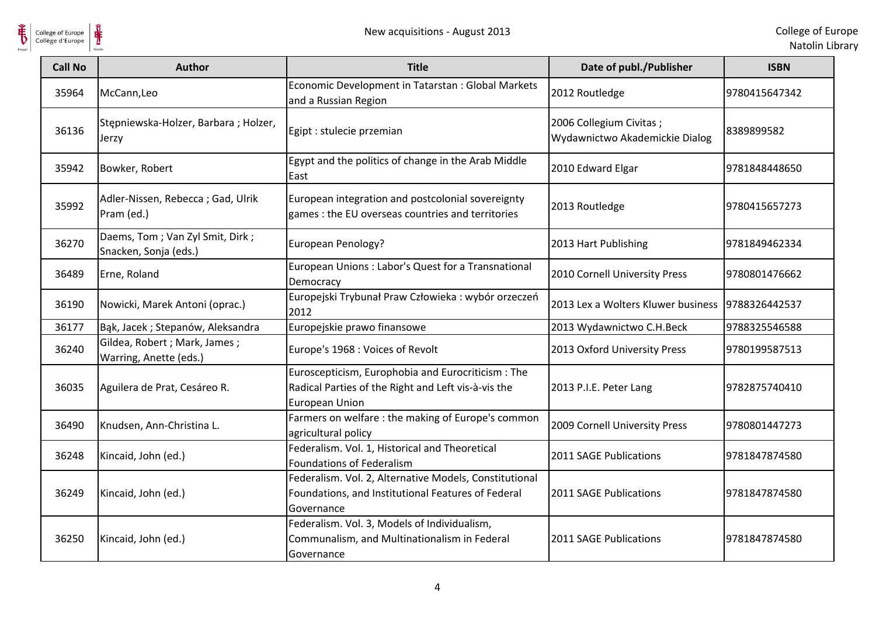

| <b>Call No</b> | <b>Author</b>                                              | <b>Title</b>                                                                                                                      | Date of publ./Publisher                                   | <b>ISBN</b>   |
|----------------|------------------------------------------------------------|-----------------------------------------------------------------------------------------------------------------------------------|-----------------------------------------------------------|---------------|
| 35964          | McCann, Leo                                                | Economic Development in Tatarstan: Global Markets<br>and a Russian Region                                                         | 2012 Routledge                                            | 9780415647342 |
| 36136          | Stępniewska-Holzer, Barbara; Holzer,<br>Jerzy              | Egipt : stulecie przemian                                                                                                         | 2006 Collegium Civitas;<br>Wydawnictwo Akademickie Dialog | 8389899582    |
| 35942          | Bowker, Robert                                             | Egypt and the politics of change in the Arab Middle<br>East                                                                       | 2010 Edward Elgar                                         | 9781848448650 |
| 35992          | Adler-Nissen, Rebecca; Gad, Ulrik<br>Pram (ed.)            | European integration and postcolonial sovereignty<br>games : the EU overseas countries and territories                            | 2013 Routledge                                            | 9780415657273 |
| 36270          | Daems, Tom ; Van Zyl Smit, Dirk ;<br>Snacken, Sonja (eds.) | European Penology?                                                                                                                | 2013 Hart Publishing                                      | 9781849462334 |
| 36489          | Erne, Roland                                               | European Unions: Labor's Quest for a Transnational<br>Democracy                                                                   | 2010 Cornell University Press                             | 9780801476662 |
| 36190          | Nowicki, Marek Antoni (oprac.)                             | Europejski Trybunał Praw Człowieka : wybór orzeczeń<br>2012                                                                       | 2013 Lex a Wolters Kluwer business 9788326442537          |               |
| 36177          | Bąk, Jacek; Stepanów, Aleksandra                           | Europejskie prawo finansowe                                                                                                       | 2013 Wydawnictwo C.H.Beck                                 | 9788325546588 |
| 36240          | Gildea, Robert; Mark, James;<br>Warring, Anette (eds.)     | Europe's 1968 : Voices of Revolt                                                                                                  | 2013 Oxford University Press                              | 9780199587513 |
| 36035          | Aguilera de Prat, Cesáreo R.                               | Euroscepticism, Europhobia and Eurocriticism: The<br>Radical Parties of the Right and Left vis-à-vis the<br><b>European Union</b> | 2013 P.I.E. Peter Lang                                    | 9782875740410 |
| 36490          | Knudsen, Ann-Christina L.                                  | Farmers on welfare : the making of Europe's common<br>agricultural policy                                                         | 2009 Cornell University Press                             | 9780801447273 |
| 36248          | Kincaid, John (ed.)                                        | Federalism. Vol. 1, Historical and Theoretical<br><b>Foundations of Federalism</b>                                                | 2011 SAGE Publications                                    | 9781847874580 |
| 36249          | Kincaid, John (ed.)                                        | Federalism. Vol. 2, Alternative Models, Constitutional<br>Foundations, and Institutional Features of Federal<br>Governance        | 2011 SAGE Publications                                    | 9781847874580 |
| 36250          | Kincaid, John (ed.)                                        | Federalism. Vol. 3, Models of Individualism,<br>Communalism, and Multinationalism in Federal<br>Governance                        | 2011 SAGE Publications                                    | 9781847874580 |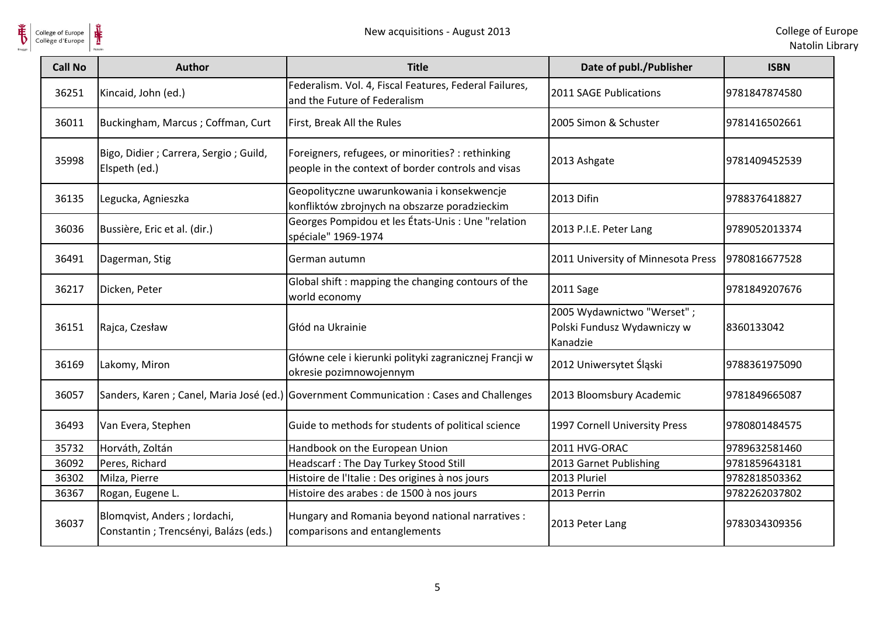

College of Europe

| College of Europe<br>Collège d'Europe | ⋕                                                                      | New acquisitions - August 2013                                                                          |                                                                       | College of Eur<br>Natolin Lib |
|---------------------------------------|------------------------------------------------------------------------|---------------------------------------------------------------------------------------------------------|-----------------------------------------------------------------------|-------------------------------|
| <b>Call No</b>                        | <b>Author</b>                                                          | <b>Title</b>                                                                                            | Date of publ./Publisher                                               | <b>ISBN</b>                   |
| 36251                                 | Kincaid, John (ed.)                                                    | Federalism. Vol. 4, Fiscal Features, Federal Failures,<br>and the Future of Federalism                  | 2011 SAGE Publications                                                | 9781847874580                 |
| 36011                                 | Buckingham, Marcus; Coffman, Curt                                      | First, Break All the Rules                                                                              | 2005 Simon & Schuster                                                 | 9781416502661                 |
| 35998                                 | Bigo, Didier ; Carrera, Sergio ; Guild,<br>Elspeth (ed.)               | Foreigners, refugees, or minorities? : rethinking<br>people in the context of border controls and visas | 2013 Ashgate                                                          | 9781409452539                 |
| 36135                                 | Legucka, Agnieszka                                                     | Geopolityczne uwarunkowania i konsekwencje<br>konfliktów zbrojnych na obszarze poradzieckim             | 2013 Difin                                                            | 9788376418827                 |
| 36036                                 | Bussière, Eric et al. (dir.)                                           | Georges Pompidou et les États-Unis : Une "relation<br>spéciale" 1969-1974                               | 2013 P.I.E. Peter Lang                                                | 9789052013374                 |
| 36491                                 | Dagerman, Stig                                                         | German autumn                                                                                           | 2011 University of Minnesota Press                                    | 9780816677528                 |
| 36217                                 | Dicken, Peter                                                          | Global shift : mapping the changing contours of the<br>world economy                                    | 2011 Sage                                                             | 9781849207676                 |
| 36151                                 | Rajca, Czesław                                                         | Głód na Ukrainie                                                                                        | 2005 Wydawnictwo "Werset";<br>Polski Fundusz Wydawniczy w<br>Kanadzie | 8360133042                    |
| 36169                                 | Lakomy, Miron                                                          | Główne cele i kierunki polityki zagranicznej Francji w<br>okresie pozimnowojennym                       | 2012 Uniwersytet Śląski                                               | 9788361975090                 |
| 36057                                 |                                                                        | Sanders, Karen ; Canel, Maria José (ed.) Government Communication : Cases and Challenges                | 2013 Bloomsbury Academic                                              | 9781849665087                 |
| 36493                                 | Van Evera, Stephen                                                     | Guide to methods for students of political science                                                      | 1997 Cornell University Press                                         | 9780801484575                 |
| 35732                                 | Horváth, Zoltán                                                        | Handbook on the European Union                                                                          | 2011 HVG-ORAC                                                         | 9789632581460                 |
| 36092                                 | Peres, Richard                                                         | Headscarf: The Day Turkey Stood Still                                                                   | 2013 Garnet Publishing                                                | 9781859643181                 |
| 36302                                 | Milza, Pierre                                                          | Histoire de l'Italie : Des origines à nos jours                                                         | 2013 Pluriel                                                          | 9782818503362                 |
| 36367                                 | Rogan, Eugene L.                                                       | Histoire des arabes : de 1500 à nos jours                                                               | 2013 Perrin                                                           | 9782262037802                 |
| 36037                                 | Blomqvist, Anders; Iordachi,<br>Constantin ; Trencsényi, Balázs (eds.) | Hungary and Romania beyond national narratives :<br>comparisons and entanglements                       | 2013 Peter Lang                                                       | 9783034309356                 |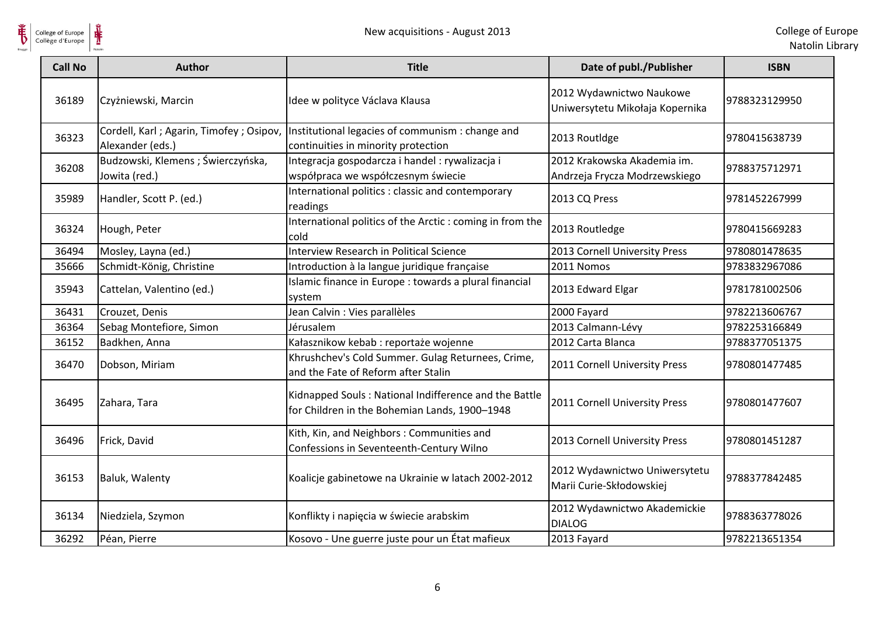

| College of Europe<br>Collège d'Europe |                                                             | New acquisitions - August 2013                                                                         |                                                              | College of Eur<br>Natolin Lib |
|---------------------------------------|-------------------------------------------------------------|--------------------------------------------------------------------------------------------------------|--------------------------------------------------------------|-------------------------------|
| <b>Call No</b>                        | <b>Author</b>                                               | <b>Title</b>                                                                                           | Date of publ./Publisher                                      | <b>ISBN</b>                   |
| 36189                                 | Czyżniewski, Marcin                                         | Idee w polityce Václava Klausa                                                                         | 2012 Wydawnictwo Naukowe<br>Uniwersytetu Mikołaja Kopernika  | 9788323129950                 |
| 36323                                 | Cordell, Karl; Agarin, Timofey; Osipov,<br>Alexander (eds.) | Institutional legacies of communism : change and<br>continuities in minority protection                | 2013 Routldge                                                | 9780415638739                 |
| 36208                                 | Budzowski, Klemens; Świerczyńska,<br>Jowita (red.)          | Integracja gospodarcza i handel: rywalizacja i<br>współpraca we współczesnym świecie                   | 2012 Krakowska Akademia im.<br>Andrzeja Frycza Modrzewskiego | 9788375712971                 |
| 35989                                 | Handler, Scott P. (ed.)                                     | International politics : classic and contemporary<br>readings                                          | 2013 CQ Press                                                | 9781452267999                 |
| 36324                                 | Hough, Peter                                                | International politics of the Arctic : coming in from the<br>cold                                      | 2013 Routledge                                               | 9780415669283                 |
| 36494                                 | Mosley, Layna (ed.)                                         | <b>Interview Research in Political Science</b>                                                         | 2013 Cornell University Press                                | 9780801478635                 |
| 35666                                 | Schmidt-König, Christine                                    | Introduction à la langue juridique française                                                           | 2011 Nomos                                                   | 9783832967086                 |
| 35943                                 | Cattelan, Valentino (ed.)                                   | Islamic finance in Europe : towards a plural financial<br>system                                       | 2013 Edward Elgar                                            | 9781781002506                 |
| 36431                                 | Crouzet, Denis                                              | Jean Calvin : Vies parallèles                                                                          | 2000 Fayard                                                  | 9782213606767                 |
| 36364                                 | Sebag Montefiore, Simon                                     | Jérusalem                                                                                              | 2013 Calmann-Lévy                                            | 9782253166849                 |
| 36152                                 | Badkhen, Anna                                               | Kałasznikow kebab : reportaże wojenne                                                                  | 2012 Carta Blanca                                            | 9788377051375                 |
| 36470                                 | Dobson, Miriam                                              | Khrushchev's Cold Summer. Gulag Returnees, Crime,<br>and the Fate of Reform after Stalin               | 2011 Cornell University Press                                | 9780801477485                 |
| 36495                                 | Zahara, Tara                                                | Kidnapped Souls: National Indifference and the Battle<br>for Children in the Bohemian Lands, 1900-1948 | 2011 Cornell University Press                                | 9780801477607                 |
| 36496                                 | Frick, David                                                | Kith, Kin, and Neighbors: Communities and<br>Confessions in Seventeenth-Century Wilno                  | 2013 Cornell University Press                                | 9780801451287                 |
| 36153                                 | Baluk, Walenty                                              | Koalicje gabinetowe na Ukrainie w latach 2002-2012                                                     | 2012 Wydawnictwo Uniwersytetu<br>Marii Curie-Skłodowskiej    | 9788377842485                 |
| 36134                                 | Niedziela, Szymon                                           | Konflikty i napięcia w świecie arabskim                                                                | 2012 Wydawnictwo Akademickie<br><b>DIALOG</b>                | 9788363778026                 |
| 36292                                 | Péan, Pierre                                                | Kosovo - Une guerre juste pour un État mafieux                                                         | 2013 Fayard                                                  | 9782213651354                 |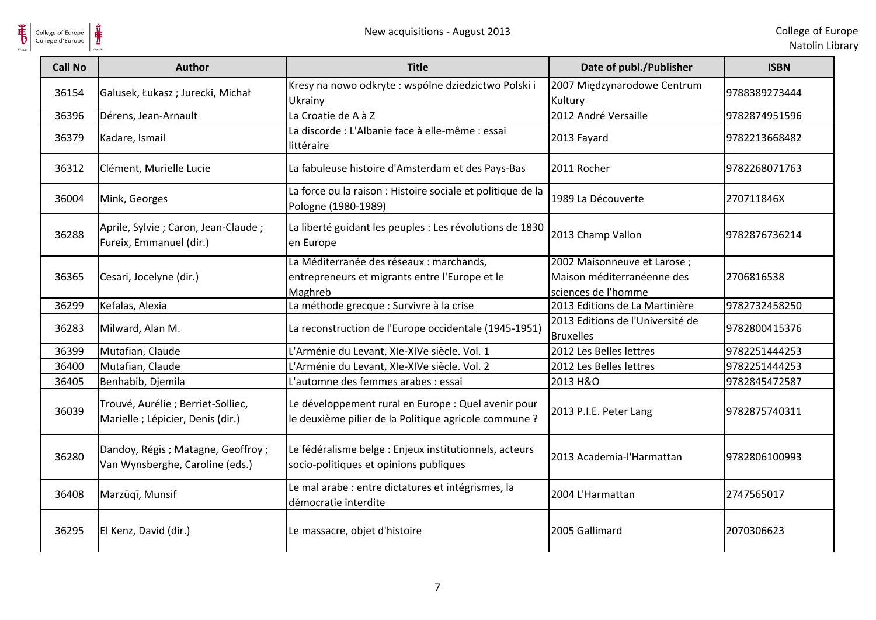

| <b>Call No</b> | Author                                                                  | <b>Title</b>                                                                                                 | Date of publ./Publisher                                                          | <b>ISBN</b>   |
|----------------|-------------------------------------------------------------------------|--------------------------------------------------------------------------------------------------------------|----------------------------------------------------------------------------------|---------------|
| 36154          | Galusek, Łukasz; Jurecki, Michał                                        | Kresy na nowo odkryte : wspólne dziedzictwo Polski i<br>Ukrainy                                              | 2007 Międzynarodowe Centrum<br>Kultury                                           | 9788389273444 |
| 36396          | Dérens, Jean-Arnault                                                    | La Croatie de A à Z                                                                                          | 2012 André Versaille                                                             | 9782874951596 |
| 36379          | Kadare, Ismail                                                          | La discorde : L'Albanie face à elle-même : essai<br>littéraire                                               | 2013 Fayard                                                                      | 9782213668482 |
| 36312          | Clément, Murielle Lucie                                                 | La fabuleuse histoire d'Amsterdam et des Pays-Bas                                                            | 2011 Rocher                                                                      | 9782268071763 |
| 36004          | Mink, Georges                                                           | La force ou la raison : Histoire sociale et politique de la<br>Pologne (1980-1989)                           | 1989 La Découverte                                                               | 270711846X    |
| 36288          | Aprile, Sylvie ; Caron, Jean-Claude ;<br>Fureix, Emmanuel (dir.)        | La liberté guidant les peuples : Les révolutions de 1830<br>en Europe                                        | 2013 Champ Vallon                                                                | 9782876736214 |
| 36365          | Cesari, Jocelyne (dir.)                                                 | La Méditerranée des réseaux : marchands,<br>entrepreneurs et migrants entre l'Europe et le<br>Maghreb        | 2002 Maisonneuve et Larose;<br>Maison méditerranéenne des<br>sciences de l'homme | 2706816538    |
| 36299          | Kefalas, Alexia                                                         | La méthode grecque : Survivre à la crise                                                                     | 2013 Editions de La Martinière                                                   | 9782732458250 |
| 36283          | Milward, Alan M.                                                        | La reconstruction de l'Europe occidentale (1945-1951)                                                        | 2013 Editions de l'Université de<br><b>Bruxelles</b>                             | 9782800415376 |
| 36399          | Mutafian, Claude                                                        | L'Arménie du Levant, XIe-XIVe siècle. Vol. 1                                                                 | 2012 Les Belles lettres                                                          | 9782251444253 |
| 36400          | Mutafian, Claude                                                        | L'Arménie du Levant, XIe-XIVe siècle. Vol. 2                                                                 | 2012 Les Belles lettres                                                          | 9782251444253 |
| 36405          | Benhabib, Djemila                                                       | L'automne des femmes arabes : essai                                                                          | 2013 H&O                                                                         | 9782845472587 |
| 36039          | Trouvé, Aurélie ; Berriet-Solliec,<br>Marielle ; Lépicier, Denis (dir.) | Le développement rural en Europe : Quel avenir pour<br>le deuxième pilier de la Politique agricole commune ? | 2013 P.I.E. Peter Lang                                                           | 9782875740311 |
| 36280          | Dandoy, Régis; Matagne, Geoffroy;<br>Van Wynsberghe, Caroline (eds.)    | Le fédéralisme belge : Enjeux institutionnels, acteurs<br>socio-politiques et opinions publiques             | 2013 Academia-l'Harmattan                                                        | 9782806100993 |
| 36408          | Marzūqī, Munsif                                                         | Le mal arabe : entre dictatures et intégrismes, la<br>démocratie interdite                                   | 2004 L'Harmattan                                                                 | 2747565017    |
| 36295          | El Kenz, David (dir.)                                                   | Le massacre, objet d'histoire                                                                                | 2005 Gallimard                                                                   | 2070306623    |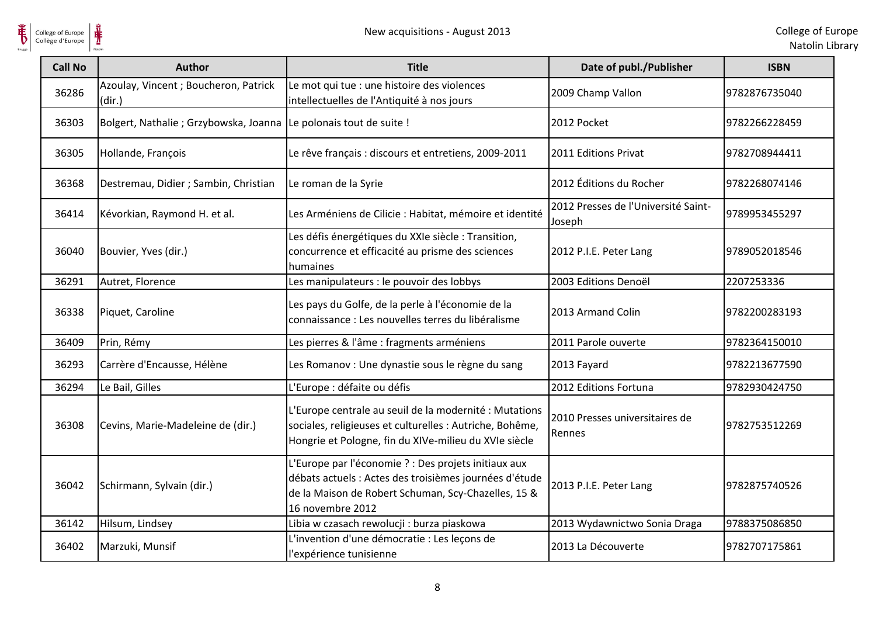

| <b>Call No</b> | <b>Author</b>                                  | <b>Title</b>                                                                                                                                                                              | Date of publ./Publisher                       | <b>ISBN</b>   |
|----------------|------------------------------------------------|-------------------------------------------------------------------------------------------------------------------------------------------------------------------------------------------|-----------------------------------------------|---------------|
| 36286          | Azoulay, Vincent; Boucheron, Patrick<br>(dir.) | Le mot qui tue : une histoire des violences<br>intellectuelles de l'Antiquité à nos jours                                                                                                 | 2009 Champ Vallon                             | 9782876735040 |
| 36303          | Bolgert, Nathalie ; Grzybowska, Joanna         | Le polonais tout de suite !                                                                                                                                                               | 2012 Pocket                                   | 9782266228459 |
| 36305          | Hollande, François                             | Le rêve français : discours et entretiens, 2009-2011                                                                                                                                      | 2011 Editions Privat                          | 9782708944411 |
| 36368          | Destremau, Didier ; Sambin, Christian          | Le roman de la Syrie                                                                                                                                                                      | 2012 Éditions du Rocher                       | 9782268074146 |
| 36414          | Kévorkian, Raymond H. et al.                   | Les Arméniens de Cilicie : Habitat, mémoire et identité                                                                                                                                   | 2012 Presses de l'Université Saint-<br>Joseph | 9789953455297 |
| 36040          | Bouvier, Yves (dir.)                           | Les défis énergétiques du XXIe siècle : Transition,<br>concurrence et efficacité au prisme des sciences<br>humaines                                                                       | 2012 P.I.E. Peter Lang                        | 9789052018546 |
| 36291          | Autret, Florence                               | Les manipulateurs : le pouvoir des lobbys                                                                                                                                                 | 2003 Editions Denoël                          | 2207253336    |
| 36338          | Piquet, Caroline                               | Les pays du Golfe, de la perle à l'économie de la<br>connaissance : Les nouvelles terres du libéralisme                                                                                   | 2013 Armand Colin                             | 9782200283193 |
| 36409          | Prin, Rémy                                     | Les pierres & l'âme : fragments arméniens                                                                                                                                                 | 2011 Parole ouverte                           | 9782364150010 |
| 36293          | Carrère d'Encausse, Hélène                     | Les Romanov : Une dynastie sous le règne du sang                                                                                                                                          | 2013 Fayard                                   | 9782213677590 |
| 36294          | Le Bail, Gilles                                | L'Europe : défaite ou défis                                                                                                                                                               | 2012 Editions Fortuna                         | 9782930424750 |
| 36308          | Cevins, Marie-Madeleine de (dir.)              | L'Europe centrale au seuil de la modernité : Mutations<br>sociales, religieuses et culturelles : Autriche, Bohême,<br>Hongrie et Pologne, fin du XIVe-milieu du XVIe siècle               | 2010 Presses universitaires de<br>Rennes      | 9782753512269 |
| 36042          | Schirmann, Sylvain (dir.)                      | L'Europe par l'économie ? : Des projets initiaux aux<br>débats actuels : Actes des troisièmes journées d'étude<br>de la Maison de Robert Schuman, Scy-Chazelles, 15 &<br>16 novembre 2012 | 2013 P.I.E. Peter Lang                        | 9782875740526 |
| 36142          | Hilsum, Lindsey                                | Libia w czasach rewolucji : burza piaskowa                                                                                                                                                | 2013 Wydawnictwo Sonia Draga                  | 9788375086850 |
| 36402          | Marzuki, Munsif                                | L'invention d'une démocratie : Les leçons de<br>l'expérience tunisienne                                                                                                                   | 2013 La Découverte                            | 9782707175861 |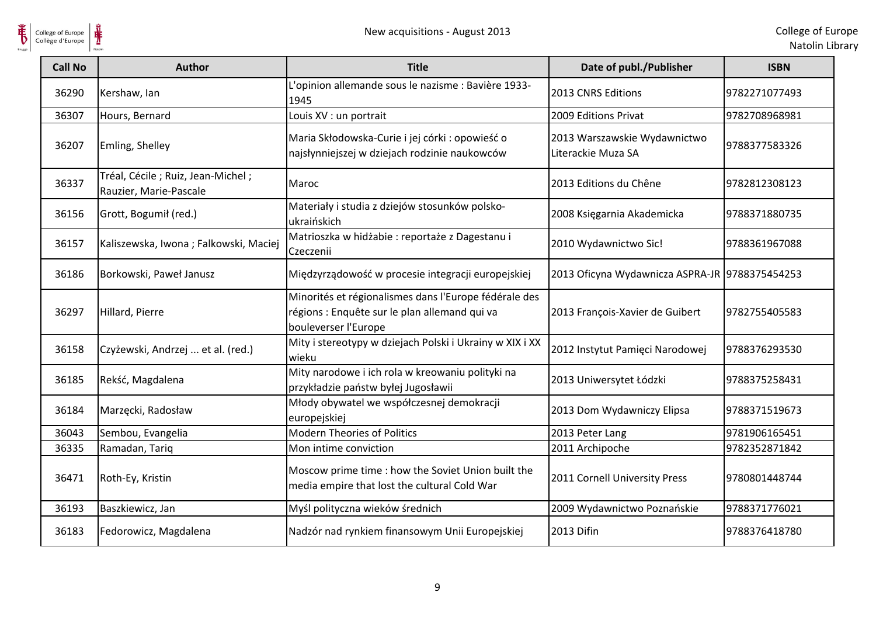

| <b>Call No</b> | <b>Author</b>                                                 | <b>Title</b>                                                                                                                   | Date of publ./Publisher                            | <b>ISBN</b>   |
|----------------|---------------------------------------------------------------|--------------------------------------------------------------------------------------------------------------------------------|----------------------------------------------------|---------------|
| 36290          | Kershaw, Ian                                                  | L'opinion allemande sous le nazisme : Bavière 1933-<br>1945                                                                    | 2013 CNRS Editions                                 | 9782271077493 |
| 36307          | Hours, Bernard                                                | Louis XV : un portrait                                                                                                         | 2009 Editions Privat                               | 9782708968981 |
| 36207          | Emling, Shelley                                               | Maria Skłodowska-Curie i jej córki : opowieść o<br>najsłynniejszej w dziejach rodzinie naukowców                               | 2013 Warszawskie Wydawnictwo<br>Literackie Muza SA | 9788377583326 |
| 36337          | Tréal, Cécile ; Ruiz, Jean-Michel ;<br>Rauzier, Marie-Pascale | Maroc                                                                                                                          | 2013 Editions du Chêne                             | 9782812308123 |
| 36156          | Grott, Bogumił (red.)                                         | Materiały i studia z dziejów stosunków polsko-<br>ukraińskich                                                                  | 2008 Księgarnia Akademicka                         | 9788371880735 |
| 36157          | Kaliszewska, Iwona; Falkowski, Maciej                         | Matrioszka w hidżabie : reportaże z Dagestanu i<br>Czeczenii                                                                   | 2010 Wydawnictwo Sic!                              | 9788361967088 |
| 36186          | Borkowski, Paweł Janusz                                       | Międzyrządowość w procesie integracji europejskiej                                                                             | 2013 Oficyna Wydawnicza ASPRA-JR 9788375454253     |               |
| 36297          | Hillard, Pierre                                               | Minorités et régionalismes dans l'Europe fédérale des<br>régions : Enquête sur le plan allemand qui va<br>bouleverser l'Europe | 2013 François-Xavier de Guibert                    | 9782755405583 |
| 36158          | Czyżewski, Andrzej  et al. (red.)                             | Mity i stereotypy w dziejach Polski i Ukrainy w XIX i XX<br>wieku                                                              | 2012 Instytut Pamięci Narodowej                    | 9788376293530 |
| 36185          | Rekść, Magdalena                                              | Mity narodowe i ich rola w kreowaniu polityki na<br>przykładzie państw byłej Jugosławii                                        | 2013 Uniwersytet Łódzki                            | 9788375258431 |
| 36184          | Marzęcki, Radosław                                            | Młody obywatel we współczesnej demokracji<br>europejskiej                                                                      | 2013 Dom Wydawniczy Elipsa                         | 9788371519673 |
| 36043          | Sembou, Evangelia                                             | <b>Modern Theories of Politics</b>                                                                                             | 2013 Peter Lang                                    | 9781906165451 |
| 36335          | Ramadan, Tariq                                                | Mon intime conviction                                                                                                          | 2011 Archipoche                                    | 9782352871842 |
| 36471          | Roth-Ey, Kristin                                              | Moscow prime time : how the Soviet Union built the<br>media empire that lost the cultural Cold War                             | 2011 Cornell University Press                      | 9780801448744 |
| 36193          | Baszkiewicz, Jan                                              | Myśl polityczna wieków średnich                                                                                                | 2009 Wydawnictwo Poznańskie                        | 9788371776021 |
| 36183          | Fedorowicz, Magdalena                                         | Nadzór nad rynkiem finansowym Unii Europejskiej                                                                                | 2013 Difin                                         | 9788376418780 |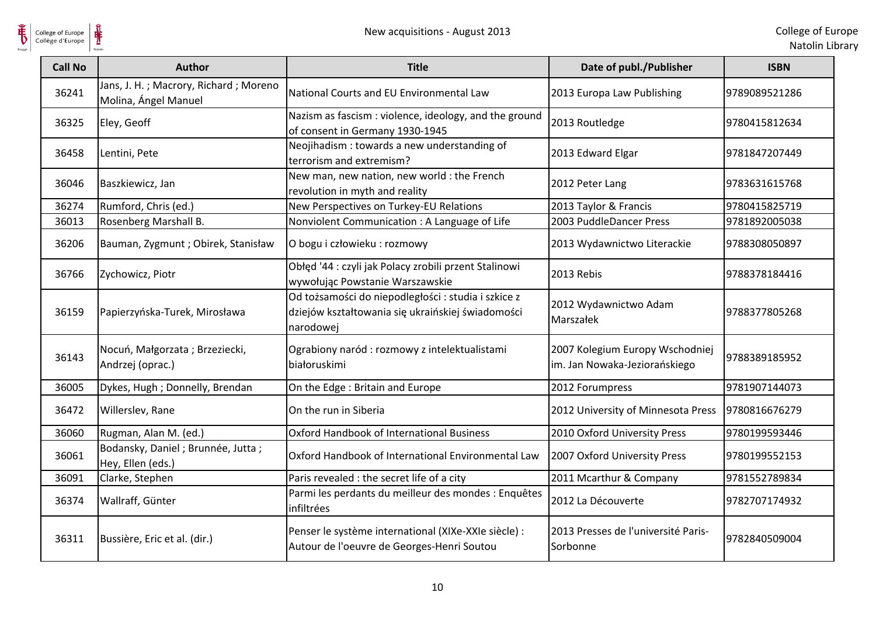

College of Europe

| College of Europe<br>Collège d'Europe |                                                               | New acquisitions - August 2013                                                                                        |                                                                  | College of Eur<br>Natolin Lib |
|---------------------------------------|---------------------------------------------------------------|-----------------------------------------------------------------------------------------------------------------------|------------------------------------------------------------------|-------------------------------|
| <b>Call No</b>                        | Author                                                        | <b>Title</b>                                                                                                          | Date of publ./Publisher                                          | <b>ISBN</b>                   |
| 36241                                 | Jans, J. H.; Macrory, Richard; Moreno<br>Molina, Ángel Manuel | National Courts and EU Environmental Law                                                                              | 2013 Europa Law Publishing                                       | 9789089521286                 |
| 36325                                 | Eley, Geoff                                                   | Nazism as fascism : violence, ideology, and the ground<br>of consent in Germany 1930-1945                             | 2013 Routledge                                                   | 9780415812634                 |
| 36458                                 | Lentini, Pete                                                 | Neojihadism: towards a new understanding of<br>terrorism and extremism?                                               | 2013 Edward Elgar                                                | 9781847207449                 |
| 36046                                 | Baszkiewicz, Jan                                              | New man, new nation, new world : the French<br>revolution in myth and reality                                         | 2012 Peter Lang                                                  | 9783631615768                 |
| 36274                                 | Rumford, Chris (ed.)                                          | New Perspectives on Turkey-EU Relations                                                                               | 2013 Taylor & Francis                                            | 9780415825719                 |
| 36013                                 | Rosenberg Marshall B.                                         | Nonviolent Communication : A Language of Life                                                                         | 2003 PuddleDancer Press                                          | 9781892005038                 |
| 36206                                 | Bauman, Zygmunt ; Obirek, Stanisław                           | O bogu i człowieku : rozmowy                                                                                          | 2013 Wydawnictwo Literackie                                      | 9788308050897                 |
| 36766                                 | Zychowicz, Piotr                                              | Obłęd '44 : czyli jak Polacy zrobili przent Stalinowi<br>wywołując Powstanie Warszawskie                              | 2013 Rebis                                                       | 9788378184416                 |
| 36159                                 | Papierzyńska-Turek, Mirosława                                 | Od tożsamości do niepodległości : studia i szkice z<br>dziejów kształtowania się ukraińskiej świadomości<br>narodowej | 2012 Wydawnictwo Adam<br>Marszałek                               | 9788377805268                 |
| 36143                                 | Nocuń, Małgorzata; Brzeziecki,<br>Andrzej (oprac.)            | Ograbiony naród: rozmowy z intelektualistami<br>białoruskimi                                                          | 2007 Kolegium Europy Wschodniej<br>im. Jan Nowaka-Jeziorańskiego | 9788389185952                 |
| 36005                                 | Dykes, Hugh; Donnelly, Brendan                                | On the Edge: Britain and Europe                                                                                       | 2012 Forumpress                                                  | 9781907144073                 |
| 36472                                 | Willerslev, Rane                                              | On the run in Siberia                                                                                                 | 2012 University of Minnesota Press                               | 9780816676279                 |
| 36060                                 | Rugman, Alan M. (ed.)                                         | <b>Oxford Handbook of International Business</b>                                                                      | 2010 Oxford University Press                                     | 9780199593446                 |
| 36061                                 | Bodansky, Daniel ; Brunnée, Jutta ;<br>Hey, Ellen (eds.)      | Oxford Handbook of International Environmental Law                                                                    | 2007 Oxford University Press                                     | 9780199552153                 |
| 36091                                 | Clarke, Stephen                                               | Paris revealed : the secret life of a city                                                                            | 2011 Mcarthur & Company                                          | 9781552789834                 |
| 36374                                 | Wallraff, Günter                                              | Parmi les perdants du meilleur des mondes : Enquêtes<br>infiltrées                                                    | 2012 La Découverte                                               | 9782707174932                 |
| 36311                                 | Bussière, Eric et al. (dir.)                                  | Penser le système international (XIXe-XXIe siècle) :<br>Autour de l'oeuvre de Georges-Henri Soutou                    | 2013 Presses de l'université Paris-<br>Sorbonne                  | 9782840509004                 |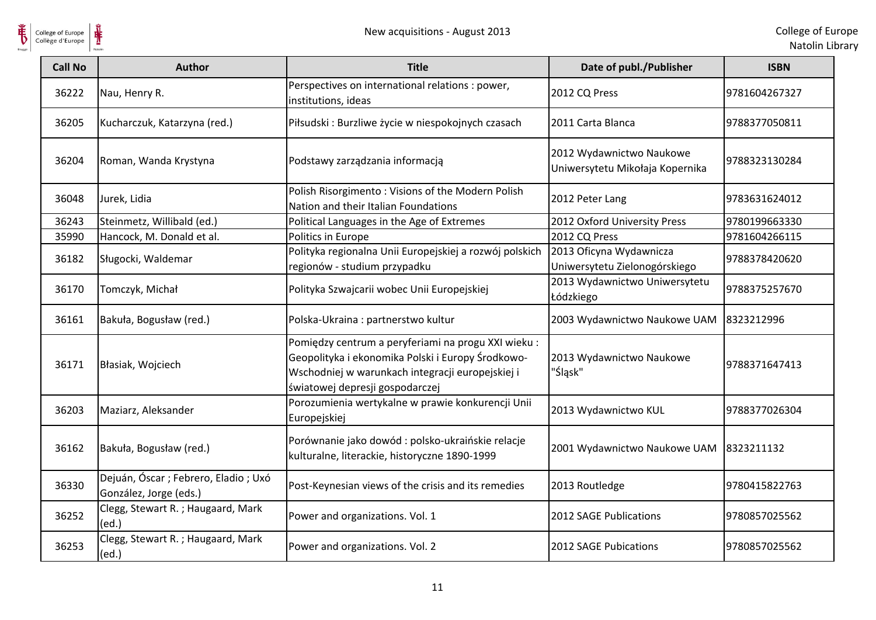

| <b>Call No</b> | <b>Author</b>                                                 | <b>Title</b>                                                                                                                                                                                   | Date of publ./Publisher                                     | <b>ISBN</b>   |
|----------------|---------------------------------------------------------------|------------------------------------------------------------------------------------------------------------------------------------------------------------------------------------------------|-------------------------------------------------------------|---------------|
| 36222          | Nau, Henry R.                                                 | Perspectives on international relations : power,<br>institutions, ideas                                                                                                                        | 2012 CQ Press                                               | 9781604267327 |
| 36205          | Kucharczuk, Katarzyna (red.)                                  | Piłsudski : Burzliwe życie w niespokojnych czasach                                                                                                                                             | 2011 Carta Blanca                                           | 9788377050811 |
| 36204          | Roman, Wanda Krystyna                                         | Podstawy zarządzania informacją                                                                                                                                                                | 2012 Wydawnictwo Naukowe<br>Uniwersytetu Mikołaja Kopernika | 9788323130284 |
| 36048          | Jurek, Lidia                                                  | Polish Risorgimento: Visions of the Modern Polish<br>Nation and their Italian Foundations                                                                                                      | 2012 Peter Lang                                             | 9783631624012 |
| 36243          | Steinmetz, Willibald (ed.)                                    | Political Languages in the Age of Extremes                                                                                                                                                     | 2012 Oxford University Press                                | 9780199663330 |
| 35990          | Hancock, M. Donald et al.                                     | Politics in Europe                                                                                                                                                                             | 2012 CQ Press                                               | 9781604266115 |
| 36182          | Sługocki, Waldemar                                            | Polityka regionalna Unii Europejskiej a rozwój polskich<br>regionów - studium przypadku                                                                                                        | 2013 Oficyna Wydawnicza<br>Uniwersytetu Zielonogórskiego    | 9788378420620 |
| 36170          | Tomczyk, Michał                                               | Polityka Szwajcarii wobec Unii Europejskiej                                                                                                                                                    | 2013 Wydawnictwo Uniwersytetu<br>Łódzkiego                  | 9788375257670 |
| 36161          | Bakuła, Bogusław (red.)                                       | Polska-Ukraina: partnerstwo kultur                                                                                                                                                             | 2003 Wydawnictwo Naukowe UAM                                | 8323212996    |
| 36171          | Błasiak, Wojciech                                             | Pomiędzy centrum a peryferiami na progu XXI wieku:<br>Geopolityka i ekonomika Polski i Europy Środkowo-<br>Wschodniej w warunkach integracji europejskiej i<br>światowej depresji gospodarczej | 2013 Wydawnictwo Naukowe<br>'Śląsk"                         | 9788371647413 |
| 36203          | Maziarz, Aleksander                                           | Porozumienia wertykalne w prawie konkurencji Unii<br>Europejskiej                                                                                                                              | 2013 Wydawnictwo KUL                                        | 9788377026304 |
| 36162          | Bakuła, Bogusław (red.)                                       | Porównanie jako dowód: polsko-ukraińskie relacje<br>kulturalne, literackie, historyczne 1890-1999                                                                                              | 2001 Wydawnictwo Naukowe UAM                                | 8323211132    |
| 36330          | Dejuán, Óscar; Febrero, Eladio; Uxó<br>González, Jorge (eds.) | Post-Keynesian views of the crisis and its remedies                                                                                                                                            | 2013 Routledge                                              | 9780415822763 |
| 36252          | Clegg, Stewart R.; Haugaard, Mark<br>(ed.)                    | Power and organizations. Vol. 1                                                                                                                                                                | 2012 SAGE Publications                                      | 9780857025562 |
| 36253          | Clegg, Stewart R.; Haugaard, Mark<br>(ed.)                    | Power and organizations. Vol. 2                                                                                                                                                                | 2012 SAGE Pubications                                       | 9780857025562 |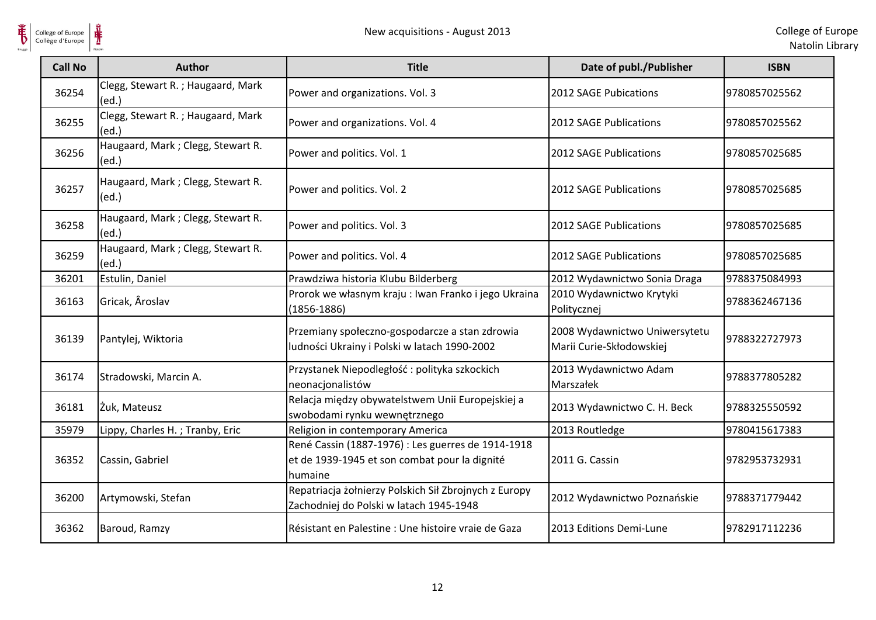| <b>Call No</b> | Author                                     | <b>Title</b>                                                                                                   | Date of publ./Publisher                                   | <b>ISBN</b>   |
|----------------|--------------------------------------------|----------------------------------------------------------------------------------------------------------------|-----------------------------------------------------------|---------------|
| 36254          | Clegg, Stewart R.; Haugaard, Mark<br>(ed.) | Power and organizations. Vol. 3                                                                                | 2012 SAGE Pubications                                     | 9780857025562 |
| 36255          | Clegg, Stewart R.; Haugaard, Mark<br>(ed.) | Power and organizations. Vol. 4                                                                                | 2012 SAGE Publications                                    | 9780857025562 |
| 36256          | Haugaard, Mark; Clegg, Stewart R.<br>(ed.) | Power and politics. Vol. 1                                                                                     | <b>2012 SAGE Publications</b>                             | 9780857025685 |
| 36257          | Haugaard, Mark; Clegg, Stewart R.<br>(ed.) | Power and politics. Vol. 2                                                                                     | 2012 SAGE Publications                                    | 9780857025685 |
| 36258          | Haugaard, Mark; Clegg, Stewart R.<br>(ed.) | Power and politics. Vol. 3                                                                                     | 2012 SAGE Publications                                    | 9780857025685 |
| 36259          | Haugaard, Mark; Clegg, Stewart R.<br>(ed.) | Power and politics. Vol. 4                                                                                     | 2012 SAGE Publications                                    | 9780857025685 |
| 36201          | Estulin, Daniel                            | Prawdziwa historia Klubu Bilderberg                                                                            | 2012 Wydawnictwo Sonia Draga                              | 9788375084993 |
| 36163          | Gricak, Âroslav                            | Prorok we własnym kraju : Iwan Franko i jego Ukraina<br>$(1856 - 1886)$                                        | 2010 Wydawnictwo Krytyki<br>Politycznej                   | 9788362467136 |
| 36139          | Pantylej, Wiktoria                         | Przemiany społeczno-gospodarcze a stan zdrowia<br>ludności Ukrainy i Polski w latach 1990-2002                 | 2008 Wydawnictwo Uniwersytetu<br>Marii Curie-Skłodowskiej | 9788322727973 |
| 36174          | Stradowski, Marcin A.                      | Przystanek Niepodległość: polityka szkockich<br>neonacjonalistów                                               | 2013 Wydawnictwo Adam<br>Marszałek                        | 9788377805282 |
| 36181          | Żuk, Mateusz                               | Relacja między obywatelstwem Unii Europejskiej a<br>swobodami rynku wewnętrznego                               | 2013 Wydawnictwo C. H. Beck                               | 9788325550592 |
| 35979          | Lippy, Charles H.; Tranby, Eric            | Religion in contemporary America                                                                               | 2013 Routledge                                            | 9780415617383 |
| 36352          | Cassin, Gabriel                            | René Cassin (1887-1976) : Les guerres de 1914-1918<br>et de 1939-1945 et son combat pour la dignité<br>humaine | 2011 G. Cassin                                            | 9782953732931 |
| 36200          | Artymowski, Stefan                         | Repatriacja żołnierzy Polskich Sił Zbrojnych z Europy<br>Zachodniej do Polski w latach 1945-1948               | 2012 Wydawnictwo Poznańskie                               | 9788371779442 |
| 36362          | Baroud, Ramzy                              | Résistant en Palestine : Une histoire vraie de Gaza                                                            | 2013 Editions Demi-Lune                                   | 9782917112236 |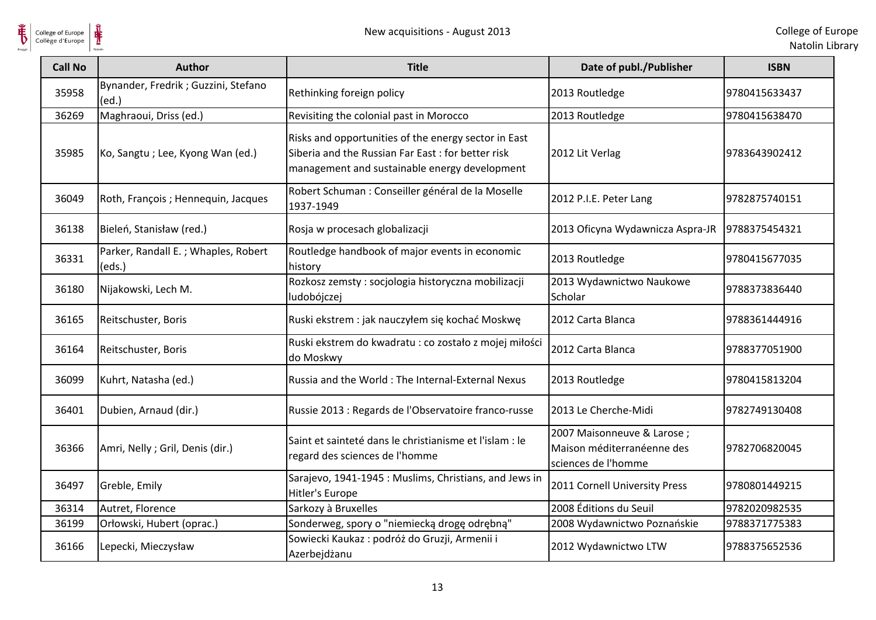

| <b>Call No</b> | <b>Author</b>                                 | <b>Title</b>                                                                                                                                                | Date of publ./Publisher                                                         | <b>ISBN</b>   |
|----------------|-----------------------------------------------|-------------------------------------------------------------------------------------------------------------------------------------------------------------|---------------------------------------------------------------------------------|---------------|
| 35958          | Bynander, Fredrik ; Guzzini, Stefano<br>(ed.) | Rethinking foreign policy                                                                                                                                   | 2013 Routledge                                                                  | 9780415633437 |
| 36269          | Maghraoui, Driss (ed.)                        | Revisiting the colonial past in Morocco                                                                                                                     | 2013 Routledge                                                                  | 9780415638470 |
| 35985          | Ko, Sangtu; Lee, Kyong Wan (ed.)              | Risks and opportunities of the energy sector in East<br>Siberia and the Russian Far East : for better risk<br>management and sustainable energy development | 2012 Lit Verlag                                                                 | 9783643902412 |
| 36049          | Roth, François ; Hennequin, Jacques           | Robert Schuman : Conseiller général de la Moselle<br>1937-1949                                                                                              | 2012 P.I.E. Peter Lang                                                          | 9782875740151 |
| 36138          | Bieleń, Stanisław (red.)                      | Rosja w procesach globalizacji                                                                                                                              | 2013 Oficyna Wydawnicza Aspra-JR   9788375454321                                |               |
| 36331          | Parker, Randall E.; Whaples, Robert<br>(eds.) | Routledge handbook of major events in economic<br>history                                                                                                   | 2013 Routledge                                                                  | 9780415677035 |
| 36180          | Nijakowski, Lech M.                           | Rozkosz zemsty: socjologia historyczna mobilizacji<br>ludobójczej                                                                                           | 2013 Wydawnictwo Naukowe<br>Scholar                                             | 9788373836440 |
| 36165          | Reitschuster, Boris                           | Ruski ekstrem : jak nauczyłem się kochać Moskwę                                                                                                             | 2012 Carta Blanca                                                               | 9788361444916 |
| 36164          | Reitschuster, Boris                           | Ruski ekstrem do kwadratu : co zostało z mojej miłości<br>do Moskwy                                                                                         | 2012 Carta Blanca                                                               | 9788377051900 |
| 36099          | Kuhrt, Natasha (ed.)                          | Russia and the World: The Internal-External Nexus                                                                                                           | 2013 Routledge                                                                  | 9780415813204 |
| 36401          | Dubien, Arnaud (dir.)                         | Russie 2013 : Regards de l'Observatoire franco-russe                                                                                                        | 2013 Le Cherche-Midi                                                            | 9782749130408 |
| 36366          | Amri, Nelly ; Gril, Denis (dir.)              | Saint et sainteté dans le christianisme et l'islam : le<br>regard des sciences de l'homme                                                                   | 2007 Maisonneuve & Larose;<br>Maison méditerranéenne des<br>sciences de l'homme | 9782706820045 |
| 36497          | Greble, Emily                                 | Sarajevo, 1941-1945 : Muslims, Christians, and Jews in<br>Hitler's Europe                                                                                   | 2011 Cornell University Press                                                   | 9780801449215 |
| 36314          | Autret, Florence                              | Sarkozy à Bruxelles                                                                                                                                         | 2008 Éditions du Seuil                                                          | 9782020982535 |
| 36199          | Orłowski, Hubert (oprac.)                     | Sonderweg, spory o "niemiecką drogę odrębną"                                                                                                                | 2008 Wydawnictwo Poznańskie                                                     | 9788371775383 |
| 36166          | Lepecki, Mieczysław                           | Sowiecki Kaukaz: podróż do Gruzji, Armenii i<br>Azerbejdżanu                                                                                                | 2012 Wydawnictwo LTW                                                            | 9788375652536 |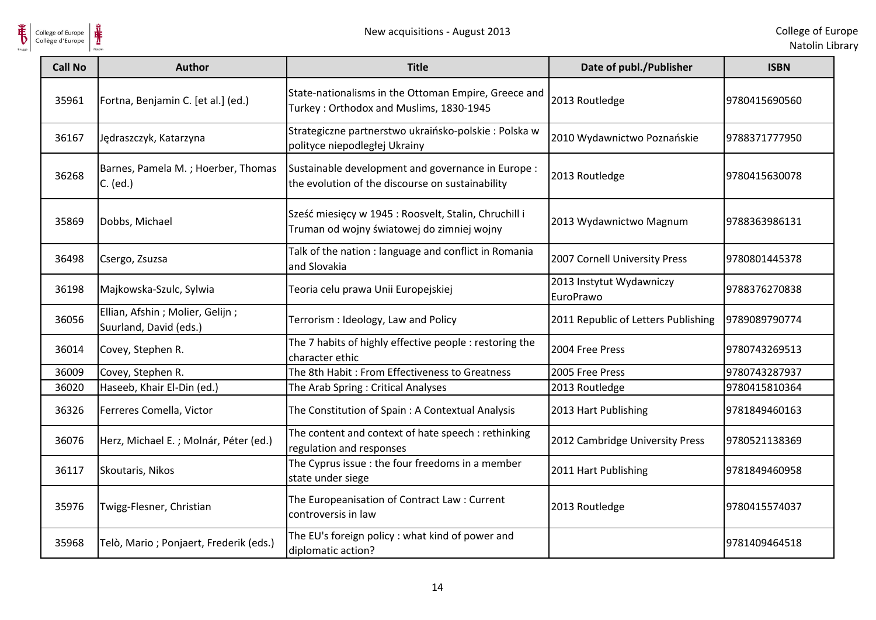

| <b>Call No</b> | <b>Author</b>                                               | <b>Title</b>                                                                                           | Date of publ./Publisher               | <b>ISBN</b>   |
|----------------|-------------------------------------------------------------|--------------------------------------------------------------------------------------------------------|---------------------------------------|---------------|
| 35961          | Fortna, Benjamin C. [et al.] (ed.)                          | State-nationalisms in the Ottoman Empire, Greece and<br>Turkey: Orthodox and Muslims, 1830-1945        | 2013 Routledge                        | 9780415690560 |
| 36167          | Jędraszczyk, Katarzyna                                      | Strategiczne partnerstwo ukraińsko-polskie: Polska w<br>polityce niepodległej Ukrainy                  | 2010 Wydawnictwo Poznańskie           | 9788371777950 |
| 36268          | Barnes, Pamela M.; Hoerber, Thomas<br>C. (ed.)              | Sustainable development and governance in Europe :<br>the evolution of the discourse on sustainability | 2013 Routledge                        | 9780415630078 |
| 35869          | Dobbs, Michael                                              | Sześć miesięcy w 1945: Roosvelt, Stalin, Chruchill i<br>Truman od wojny światowej do zimniej wojny     | 2013 Wydawnictwo Magnum               | 9788363986131 |
| 36498          | Csergo, Zsuzsa                                              | Talk of the nation : language and conflict in Romania<br>and Slovakia                                  | 2007 Cornell University Press         | 9780801445378 |
| 36198          | Majkowska-Szulc, Sylwia                                     | Teoria celu prawa Unii Europejskiej                                                                    | 2013 Instytut Wydawniczy<br>EuroPrawo | 9788376270838 |
| 36056          | Ellian, Afshin ; Molier, Gelijn ;<br>Suurland, David (eds.) | Terrorism: Ideology, Law and Policy                                                                    | 2011 Republic of Letters Publishing   | 9789089790774 |
| 36014          | Covey, Stephen R.                                           | The 7 habits of highly effective people : restoring the<br>character ethic                             | 2004 Free Press                       | 9780743269513 |
| 36009          | Covey, Stephen R.                                           | The 8th Habit: From Effectiveness to Greatness                                                         | 2005 Free Press                       | 9780743287937 |
| 36020          | Haseeb, Khair El-Din (ed.)                                  | The Arab Spring : Critical Analyses                                                                    | 2013 Routledge                        | 9780415810364 |
| 36326          | Ferreres Comella, Victor                                    | The Constitution of Spain: A Contextual Analysis                                                       | 2013 Hart Publishing                  | 9781849460163 |
| 36076          | Herz, Michael E.; Molnár, Péter (ed.)                       | The content and context of hate speech : rethinking<br>regulation and responses                        | 2012 Cambridge University Press       | 9780521138369 |
| 36117          | Skoutaris, Nikos                                            | The Cyprus issue : the four freedoms in a member<br>state under siege                                  | 2011 Hart Publishing                  | 9781849460958 |
| 35976          | Twigg-Flesner, Christian                                    | The Europeanisation of Contract Law: Current<br>controversis in law                                    | 2013 Routledge                        | 9780415574037 |
| 35968          | Telò, Mario ; Ponjaert, Frederik (eds.)                     | The EU's foreign policy : what kind of power and<br>diplomatic action?                                 |                                       | 9781409464518 |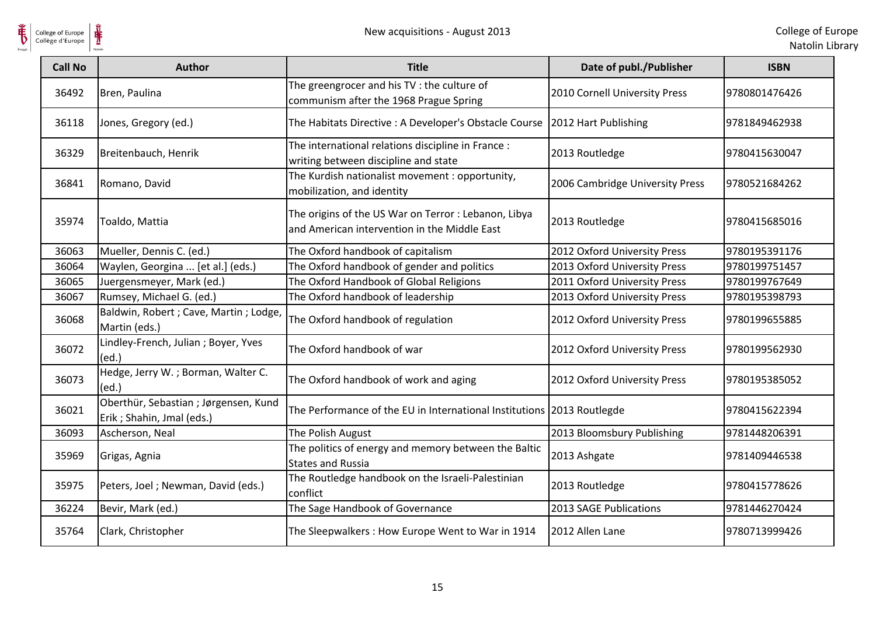

| <b>Call No</b> | Author                                                              | <b>Title</b>                                                                                         | Date of publ./Publisher         | <b>ISBN</b>   |
|----------------|---------------------------------------------------------------------|------------------------------------------------------------------------------------------------------|---------------------------------|---------------|
| 36492          | Bren, Paulina                                                       | The greengrocer and his TV : the culture of<br>communism after the 1968 Prague Spring                | 2010 Cornell University Press   | 9780801476426 |
| 36118          | Jones, Gregory (ed.)                                                | The Habitats Directive : A Developer's Obstacle Course 2012 Hart Publishing                          |                                 | 9781849462938 |
| 36329          | Breitenbauch, Henrik                                                | The international relations discipline in France :<br>writing between discipline and state           | 2013 Routledge                  | 9780415630047 |
| 36841          | Romano, David                                                       | The Kurdish nationalist movement : opportunity,<br>mobilization, and identity                        | 2006 Cambridge University Press | 9780521684262 |
| 35974          | Toaldo, Mattia                                                      | The origins of the US War on Terror : Lebanon, Libya<br>and American intervention in the Middle East | 2013 Routledge                  | 9780415685016 |
| 36063          | Mueller, Dennis C. (ed.)                                            | The Oxford handbook of capitalism                                                                    | 2012 Oxford University Press    | 9780195391176 |
| 36064          | Waylen, Georgina  [et al.] (eds.)                                   | The Oxford handbook of gender and politics                                                           | 2013 Oxford University Press    | 9780199751457 |
| 36065          | Juergensmeyer, Mark (ed.)                                           | The Oxford Handbook of Global Religions                                                              | 2011 Oxford University Press    | 9780199767649 |
| 36067          | Rumsey, Michael G. (ed.)                                            | The Oxford handbook of leadership                                                                    | 2013 Oxford University Press    | 9780195398793 |
| 36068          | Baldwin, Robert ; Cave, Martin ; Lodge,<br>Martin (eds.)            | The Oxford handbook of regulation                                                                    | 2012 Oxford University Press    | 9780199655885 |
| 36072          | Lindley-French, Julian; Boyer, Yves<br>(ed.)                        | The Oxford handbook of war                                                                           | 2012 Oxford University Press    | 9780199562930 |
| 36073          | Hedge, Jerry W.; Borman, Walter C.<br>(ed.)                         | The Oxford handbook of work and aging                                                                | 2012 Oxford University Press    | 9780195385052 |
| 36021          | Oberthür, Sebastian ; Jørgensen, Kund<br>Erik ; Shahin, Jmal (eds.) | The Performance of the EU in International Institutions 2013 Routlegde                               |                                 | 9780415622394 |
| 36093          | Ascherson, Neal                                                     | The Polish August                                                                                    | 2013 Bloomsbury Publishing      | 9781448206391 |
| 35969          | Grigas, Agnia                                                       | The politics of energy and memory between the Baltic<br><b>States and Russia</b>                     | 2013 Ashgate                    | 9781409446538 |
| 35975          | Peters, Joel; Newman, David (eds.)                                  | The Routledge handbook on the Israeli-Palestinian<br>conflict                                        | 2013 Routledge                  | 9780415778626 |
| 36224          | Bevir, Mark (ed.)                                                   | The Sage Handbook of Governance                                                                      | 2013 SAGE Publications          | 9781446270424 |
| 35764          | Clark, Christopher                                                  | The Sleepwalkers: How Europe Went to War in 1914                                                     | 2012 Allen Lane                 | 9780713999426 |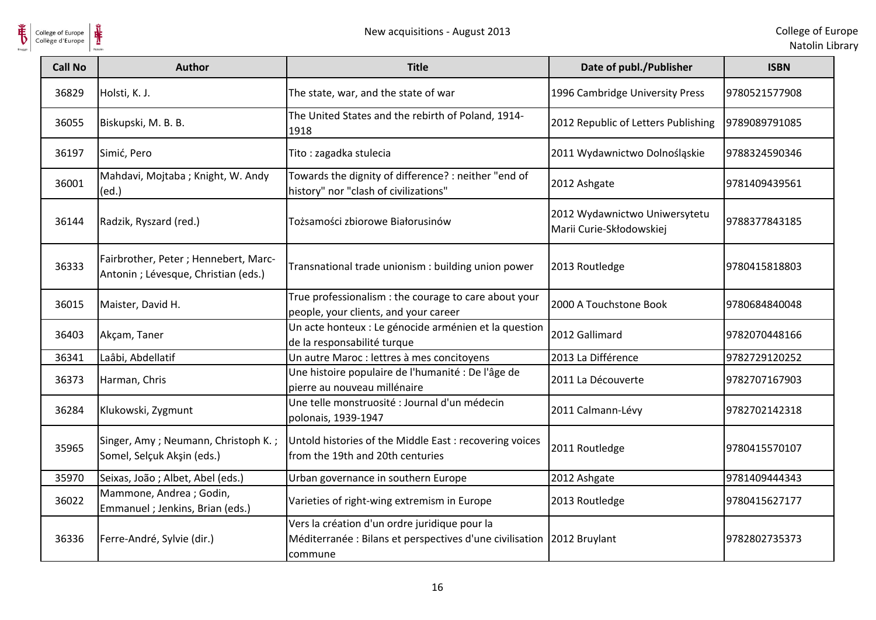

| <b>Call No</b> | <b>Author</b>                                                                 | <b>Title</b>                                                                                                                       | Date of publ./Publisher                                   | <b>ISBN</b>   |
|----------------|-------------------------------------------------------------------------------|------------------------------------------------------------------------------------------------------------------------------------|-----------------------------------------------------------|---------------|
| 36829          | Holsti, K. J.                                                                 | The state, war, and the state of war                                                                                               | 1996 Cambridge University Press                           | 9780521577908 |
| 36055          | Biskupski, M. B. B.                                                           | The United States and the rebirth of Poland, 1914-<br>1918                                                                         | 2012 Republic of Letters Publishing                       | 9789089791085 |
| 36197          | Simić, Pero                                                                   | Tito: zagadka stulecia                                                                                                             | 2011 Wydawnictwo Dolnośląskie                             | 9788324590346 |
| 36001          | Mahdavi, Mojtaba; Knight, W. Andy<br>(ed.)                                    | Towards the dignity of difference? : neither "end of<br>history" nor "clash of civilizations"                                      | 2012 Ashgate                                              | 9781409439561 |
| 36144          | Radzik, Ryszard (red.)                                                        | Tożsamości zbiorowe Białorusinów                                                                                                   | 2012 Wydawnictwo Uniwersytetu<br>Marii Curie-Skłodowskiej | 9788377843185 |
| 36333          | Fairbrother, Peter ; Hennebert, Marc-<br>Antonin ; Lévesque, Christian (eds.) | Transnational trade unionism : building union power                                                                                | 2013 Routledge                                            | 9780415818803 |
| 36015          | Maister, David H.                                                             | True professionalism : the courage to care about your<br>people, your clients, and your career                                     | 2000 A Touchstone Book                                    | 9780684840048 |
| 36403          | Akçam, Taner                                                                  | Un acte honteux : Le génocide arménien et la question<br>de la responsabilité turque                                               | 2012 Gallimard                                            | 9782070448166 |
| 36341          | Laâbi, Abdellatif                                                             | Un autre Maroc : lettres à mes concitoyens                                                                                         | 2013 La Différence                                        | 9782729120252 |
| 36373          | Harman, Chris                                                                 | Une histoire populaire de l'humanité : De l'âge de<br>pierre au nouveau millénaire                                                 | 2011 La Découverte                                        | 9782707167903 |
| 36284          | Klukowski, Zygmunt                                                            | Une telle monstruosité : Journal d'un médecin<br>polonais, 1939-1947                                                               | 2011 Calmann-Lévy                                         | 9782702142318 |
| 35965          | Singer, Amy; Neumann, Christoph K.;<br>Somel, Selçuk Akşin (eds.)             | Untold histories of the Middle East: recovering voices<br>from the 19th and 20th centuries                                         | 2011 Routledge                                            | 9780415570107 |
| 35970          | Seixas, João; Albet, Abel (eds.)                                              | Urban governance in southern Europe                                                                                                | 2012 Ashgate                                              | 9781409444343 |
| 36022          | Mammone, Andrea ; Godin,<br>Emmanuel ; Jenkins, Brian (eds.)                  | Varieties of right-wing extremism in Europe                                                                                        | 2013 Routledge                                            | 9780415627177 |
| 36336          | Ferre-André, Sylvie (dir.)                                                    | Vers la création d'un ordre juridique pour la<br>Méditerranée : Bilans et perspectives d'une civilisation 2012 Bruylant<br>commune |                                                           | 9782802735373 |